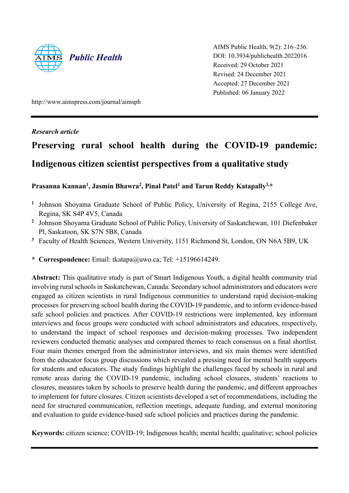

AIMS Public Health, 9(2): 216–236. DOI: 10.3934/publichealth.2022016 Received: 29 October 2021 Revised: 24 December 2021 Accepted: 27 December 2021 Published: 06 January 2022

http://www.aimspress.com/journal/aimsph

## *Research article*

# **Preserving rural school health during the COVID-19 pandemic: Indigenous citizen scientist perspectives from a qualitative study**

## **Prasanna Kannan<sup>1</sup> , Jasmin Bhawra<sup>2</sup> , Pinal Patel<sup>1</sup> and Tarun Reddy Katapally3,\***

- <sup>1</sup> Johnson Shoyama Graduate School of Public Policy, University of Regina, 2155 College Ave, Regina, SK S4P 4V5, Canada
- <sup>2</sup> Johnson Shoyama Graduate School of Public Policy, University of Saskatchewan, 101 Diefenbaker Pl, Saskatoon, SK S7N 5B8, Canada
- **<sup>3</sup>** Faculty of Health Sciences, Western University, 1151 Richmond St, London, ON N6A 5B9, UK
- **\* Correspondence:** Email: tkatapa@uwo.ca; Tel: +15196614249.

**Abstract:** This qualitative study is part of Smart Indigenous Youth, a digital health community trial involving rural schools in Saskatchewan, Canada. Secondary school administrators and educators were engaged as citizen scientists in rural Indigenous communities to understand rapid decision-making processes for preserving school health during the COVID-19 pandemic, and to inform evidence-based safe school policies and practices. After COVID-19 restrictions were implemented, key informant interviews and focus groups were conducted with school administrators and educators, respectively, to understand the impact of school responses and decision-making processes. Two independent reviewers conducted thematic analyses and compared themes to reach consensus on a final shortlist. Four main themes emerged from the administrator interviews, and six main themes were identified from the educator focus group discussions which revealed a pressing need for mental health supports for students and educators. The study findings highlight the challenges faced by schools in rural and remote areas during the COVID-19 pandemic, including school closures, students' reactions to closures, measures taken by schools to preserve health during the pandemic, and different approaches to implement for future closures. Citizen scientists developed a set of recommendations, including the need for structured communication, reflection meetings, adequate funding, and external monitoring and evaluation to guide evidence-based safe school policies and practices during the pandemic.

**Keywords:** citizen science; COVID-19; Indigenous health; mental health; qualitative; school policies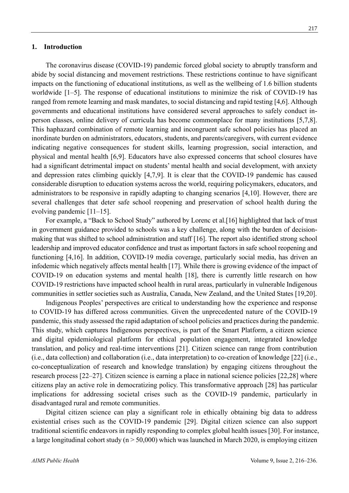#### **1. Introduction**

The coronavirus disease (COVID-19) pandemic forced global society to abruptly transform and abide by social distancing and movement restrictions. These restrictions continue to have significant impacts on the functioning of educational institutions, as well as the wellbeing of 1.6 billion students worldwide [1–5]. The response of educational institutions to minimize the risk of COVID-19 has ranged from remote learning and mask mandates, to social distancing and rapid testing [4,6]. Although governments and educational institutions have considered several approaches to safely conduct inperson classes, online delivery of curricula has become commonplace for many institutions [5,7,8]. This haphazard combination of remote learning and incongruent safe school policies has placed an inordinate burden on administrators, educators, students, and parents/caregivers, with current evidence indicating negative consequences for student skills, learning progression, social interaction, and physical and mental health [6,9]. Educators have also expressed concerns that school closures have had a significant detrimental impact on students' mental health and social development, with anxiety and depression rates climbing quickly [4,7,9]. It is clear that the COVID-19 pandemic has caused considerable disruption to education systems across the world, requiring policymakers, educators, and administrators to be responsive in rapidly adapting to changing scenarios [4,10]. However, there are several challenges that deter safe school reopening and preservation of school health during the evolving pandemic [11–15].

For example, a "Back to School Study" authored by Lorenc et al.[16] highlighted that lack of trust in government guidance provided to schools was a key challenge, along with the burden of decisionmaking that was shifted to school administration and staff [16]. The report also identified strong school leadership and improved educator confidence and trust as important factors in safe school reopening and functioning [4,16]. In addition, COVID-19 media coverage, particularly social media, has driven an infodemic which negatively affects mental health [17]. While there is growing evidence of the impact of COVID-19 on education systems and mental health [18], there is currently little research on how COVID-19 restrictions have impacted school health in rural areas, particularly in vulnerable Indigenous communities in settler societies such as Australia, Canada, New Zealand, and the United States [19,20].

Indigenous Peoples' perspectives are critical to understanding how the experience and response to COVID-19 has differed across communities. Given the unprecedented nature of the COVID-19 pandemic, this study assessed the rapid adaptation of school policies and practices during the pandemic. This study, which captures Indigenous perspectives, is part of the Smart Platform, a citizen science and digital epidemiological platform for ethical population engagement, integrated knowledge translation, and policy and real-time interventions [21]. Citizen science can range from contribution (i.e., data collection) and collaboration (i.e., data interpretation) to co-creation of knowledge [22] (i.e., co-conceptualization of research and knowledge translation) by engaging citizens throughout the research process [22–27]. Citizen science is earning a place in national science policies [22,28] where citizens play an active role in democratizing policy. This transformative approach [28] has particular implications for addressing societal crises such as the COVID-19 pandemic, particularly in disadvantaged rural and remote communities.

Digital citizen science can play a significant role in ethically obtaining big data to address existential crises such as the COVID-19 pandemic [29]. Digital citizen science can also support traditional scientific endeavors in rapidly responding to complex global health issues [30]. For instance, a large longitudinal cohort study ( $n > 50,000$ ) which was launched in March 2020, is employing citizen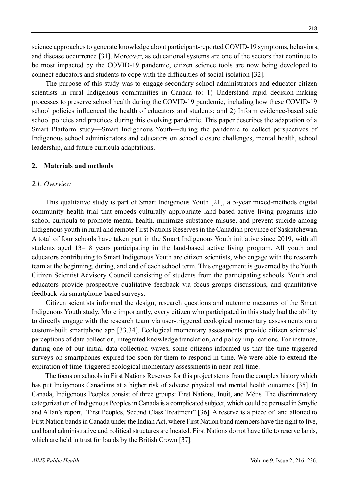science approaches to generate knowledge about participant-reported COVID-19 symptoms, behaviors, and disease occurrence [31]. Moreover, as educational systems are one of the sectors that continue to be most impacted by the COVID-19 pandemic, citizen science tools are now being developed to connect educators and students to cope with the difficulties of social isolation [32].

The purpose of this study was to engage secondary school administrators and educator citizen scientists in rural Indigenous communities in Canada to: 1) Understand rapid decision-making processes to preserve school health during the COVID-19 pandemic, including how these COVID-19 school policies influenced the health of educators and students; and 2) Inform evidence-based safe school policies and practices during this evolving pandemic. This paper describes the adaptation of a Smart Platform study—Smart Indigenous Youth—during the pandemic to collect perspectives of Indigenous school administrators and educators on school closure challenges, mental health, school leadership, and future curricula adaptations.

#### **2. Materials and methods**

## *2.1. Overview*

This qualitative study is part of Smart Indigenous Youth [21], a 5-year mixed-methods digital community health trial that embeds culturally appropriate land-based active living programs into school curricula to promote mental health, minimize substance misuse, and prevent suicide among Indigenous youth in rural and remote First Nations Reserves in the Canadian province of Saskatchewan. A total of four schools have taken part in the Smart Indigenous Youth initiative since 2019, with all students aged 13–18 years participating in the land-based active living program. All youth and educators contributing to Smart Indigenous Youth are citizen scientists, who engage with the research team at the beginning, during, and end of each school term. This engagement is governed by the Youth Citizen Scientist Advisory Council consisting of students from the participating schools. Youth and educators provide prospective qualitative feedback via focus groups discussions, and quantitative feedback via smartphone-based surveys.

Citizen scientists informed the design, research questions and outcome measures of the Smart Indigenous Youth study. More importantly, every citizen who participated in this study had the ability to directly engage with the research team via user-triggered ecological momentary assessments on a custom-built smartphone app [33,34]. Ecological momentary assessments provide citizen scientists' perceptions of data collection, integrated knowledge translation, and policy implications. For instance, during one of our initial data collection waves, some citizens informed us that the time-triggered surveys on smartphones expired too soon for them to respond in time. We were able to extend the expiration of time-triggered ecological momentary assessments in near-real time.

The focus on schools in First Nations Reserves for this project stems from the complex history which has put Indigenous Canadians at a higher risk of adverse physical and mental health outcomes [35]. In Canada, Indigenous Peoples consist of three groups: First Nations, Inuit, and Métis. The discriminatory categorization of Indigenous Peoples in Canada is a complicated subject, which could be perused in Smylie and Allan's report, "First Peoples, Second Class Treatment" [36]. A reserve is a piece of land allotted to First Nation bands in Canada under the Indian Act, where First Nation band members have the right to live, and band administrative and political structures are located. First Nations do not have title to reserve lands, which are held in trust for bands by the British Crown [37].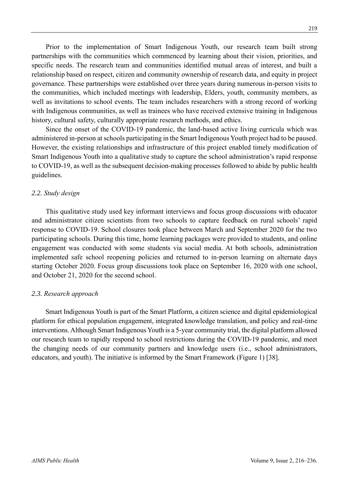Prior to the implementation of Smart Indigenous Youth, our research team built strong partnerships with the communities which commenced by learning about their vision, priorities, and specific needs. The research team and communities identified mutual areas of interest, and built a relationship based on respect, citizen and community ownership of research data, and equity in project governance. These partnerships were established over three years during numerous in-person visits to the communities, which included meetings with leadership, Elders, youth, community members, as well as invitations to school events. The team includes researchers with a strong record of working with Indigenous communities, as well as trainees who have received extensive training in Indigenous history, cultural safety, culturally appropriate research methods, and ethics.

Since the onset of the COVID-19 pandemic, the land-based active living curricula which was administered in-person at schools participating in the Smart Indigenous Youth project had to be paused. However, the existing relationships and infrastructure of this project enabled timely modification of Smart Indigenous Youth into a qualitative study to capture the school administration's rapid response to COVID-19, as well as the subsequent decision-making processes followed to abide by public health guidelines.

## *2.2. Study design*

This qualitative study used key informant interviews and focus group discussions with educator and administrator citizen scientists from two schools to capture feedback on rural schools' rapid response to COVID-19. School closures took place between March and September 2020 for the two participating schools. During this time, home learning packages were provided to students, and online engagement was conducted with some students via social media. At both schools, administration implemented safe school reopening policies and returned to in-person learning on alternate days starting October 2020. Focus group discussions took place on September 16, 2020 with one school, and October 21, 2020 for the second school.

#### *2.3. Research approach*

Smart Indigenous Youth is part of the Smart Platform, a citizen science and digital epidemiological platform for ethical population engagement, integrated knowledge translation, and policy and real-time interventions. Although Smart Indigenous Youth is a 5-year community trial, the digital platform allowed our research team to rapidly respond to school restrictions during the COVID-19 pandemic, and meet the changing needs of our community partners and knowledge users (i.e., school administrators, educators, and youth). The initiative is informed by the Smart Framework (Figure 1) [38].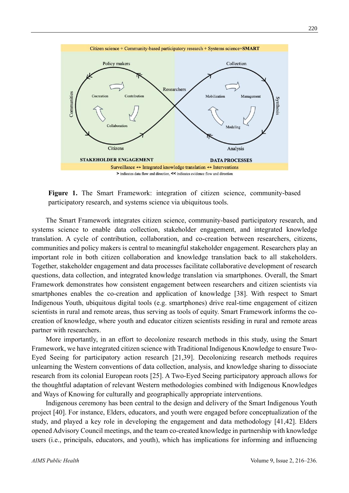

**Figure 1.** The Smart Framework: integration of citizen science, community-based participatory research, and systems science via ubiquitous tools.

The Smart Framework integrates citizen science, community-based participatory research, and systems science to enable data collection, stakeholder engagement, and integrated knowledge translation. A cycle of contribution, collaboration, and co-creation between researchers, citizens, communities and policy makers is central to meaningful stakeholder engagement. Researchers play an important role in both citizen collaboration and knowledge translation back to all stakeholders. Together, stakeholder engagement and data processes facilitate collaborative development of research questions, data collection, and integrated knowledge translation via smartphones. Overall, the Smart Framework demonstrates how consistent engagement between researchers and citizen scientists via smartphones enables the co-creation and application of knowledge [38]. With respect to Smart Indigenous Youth, ubiquitous digital tools (e.g. smartphones) drive real-time engagement of citizen scientists in rural and remote areas, thus serving as tools of equity. Smart Framework informs the cocreation of knowledge, where youth and educator citizen scientists residing in rural and remote areas partner with researchers.

More importantly, in an effort to decolonize research methods in this study, using the Smart Framework, we have integrated citizen science with Traditional Indigenous Knowledge to ensure Two-Eyed Seeing for participatory action research [21,39]. Decolonizing research methods requires unlearning the Western conventions of data collection, analysis, and knowledge sharing to dissociate research from its colonial European roots [25]. A Two-Eyed Seeing participatory approach allows for the thoughtful adaptation of relevant Western methodologies combined with Indigenous Knowledges and Ways of Knowing for culturally and geographically appropriate interventions.

Indigenous ceremony has been central to the design and delivery of the Smart Indigenous Youth project [40]. For instance, Elders, educators, and youth were engaged before conceptualization of the study, and played a key role in developing the engagement and data methodology [41,42]. Elders opened Advisory Council meetings, and the team co-created knowledge in partnership with knowledge users (i.e., principals, educators, and youth), which has implications for informing and influencing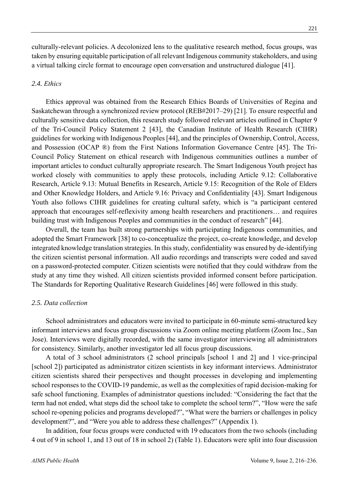culturally-relevant policies. A decolonized lens to the qualitative research method, focus groups, was taken by ensuring equitable participation of all relevant Indigenous community stakeholders, and using a virtual talking circle format to encourage open conversation and unstructured dialogue [41].

#### *2.4. Ethics*

Ethics approval was obtained from the Research Ethics Boards of Universities of Regina and Saskatchewan through a synchronized review protocol (REB#2017–29) [21]. To ensure respectful and culturally sensitive data collection, this research study followed relevant articles outlined in Chapter 9 of the Tri-Council Policy Statement 2 [43], the Canadian Institute of Health Research (CIHR) guidelines for working with Indigenous Peoples [44], and the principles of Ownership, Control, Access, and Possession (OCAP ®) from the First Nations Information Governance Centre [45]. The Tri-Council Policy Statement on ethical research with Indigenous communities outlines a number of important articles to conduct culturally appropriate research. The Smart Indigenous Youth project has worked closely with communities to apply these protocols, including Article 9.12: Collaborative Research, Article 9.13: Mutual Benefits in Research, Article 9.15: Recognition of the Role of Elders and Other Knowledge Holders, and Article 9.16: Privacy and Confidentiality [43]. Smart Indigenous Youth also follows CIHR guidelines for creating cultural safety, which is "a participant centered approach that encourages self-reflexivity among health researchers and practitioners… and requires building trust with Indigenous Peoples and communities in the conduct of research" [44].

Overall, the team has built strong partnerships with participating Indigenous communities, and adopted the Smart Framework [38] to co-conceptualize the project, co-create knowledge, and develop integrated knowledge translation strategies. In this study, confidentiality was ensured by de-identifying the citizen scientist personal information. All audio recordings and transcripts were coded and saved on a password-protected computer. Citizen scientists were notified that they could withdraw from the study at any time they wished. All citizen scientists provided informed consent before participation. The Standards for Reporting Qualitative Research Guidelines [46] were followed in this study.

#### *2.5. Data collection*

School administrators and educators were invited to participate in 60-minute semi-structured key informant interviews and focus group discussions via Zoom online meeting platform (Zoom Inc., San Jose). Interviews were digitally recorded, with the same investigator interviewing all administrators for consistency. Similarly, another investigator led all focus group discussions.

A total of 3 school administrators (2 school principals [school 1 and 2] and 1 vice-principal [school 2]) participated as administrator citizen scientists in key informant interviews. Administrator citizen scientists shared their perspectives and thought processes in developing and implementing school responses to the COVID-19 pandemic, as well as the complexities of rapid decision-making for safe school functioning. Examples of administrator questions included: "Considering the fact that the term had not ended, what steps did the school take to complete the school term?", "How were the safe school re-opening policies and programs developed?", "What were the barriers or challenges in policy development?", and "Were you able to address these challenges?" (Appendix 1).

In addition, four focus groups were conducted with 19 educators from the two schools (including 4 out of 9 in school 1, and 13 out of 18 in school 2) (Table 1). Educators were split into four discussion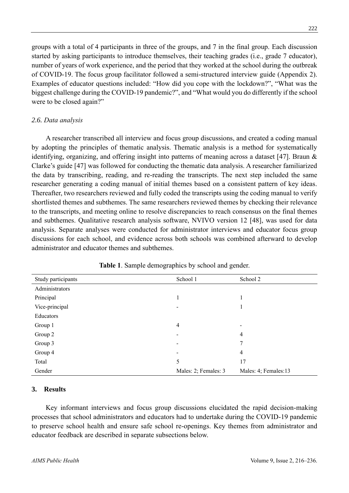groups with a total of 4 participants in three of the groups, and 7 in the final group. Each discussion started by asking participants to introduce themselves, their teaching grades (i.e., grade 7 educator), number of years of work experience, and the period that they worked at the school during the outbreak of COVID-19. The focus group facilitator followed a semi-structured interview guide (Appendix 2). Examples of educator questions included: "How did you cope with the lockdown?", "What was the biggest challenge during the COVID-19 pandemic?", and "What would you do differently if the school were to be closed again?"

## *2.6. Data analysis*

A researcher transcribed all interview and focus group discussions, and created a coding manual by adopting the principles of thematic analysis. Thematic analysis is a method for systematically identifying, organizing, and offering insight into patterns of meaning across a dataset [47]. Braun & Clarke's guide [47] was followed for conducting the thematic data analysis. A researcher familiarized the data by transcribing, reading, and re-reading the transcripts. The next step included the same researcher generating a coding manual of initial themes based on a consistent pattern of key ideas. Thereafter, two researchers reviewed and fully coded the transcripts using the coding manual to verify shortlisted themes and subthemes. The same researchers reviewed themes by checking their relevance to the transcripts, and meeting online to resolve discrepancies to reach consensus on the final themes and subthemes. Qualitative research analysis software, NVIVO version 12 [48], was used for data analysis. Separate analyses were conducted for administrator interviews and educator focus group discussions for each school, and evidence across both schools was combined afterward to develop administrator and educator themes and subthemes.

| Study participants | School 1             | School 2             |
|--------------------|----------------------|----------------------|
| Administrators     |                      |                      |
| Principal          |                      |                      |
| Vice-principal     | -                    | 1                    |
| Educators          |                      |                      |
| Group 1            | 4                    |                      |
| Group 2            | -                    | $\overline{4}$       |
| Group 3            |                      | 7                    |
| Group 4            |                      | $\overline{4}$       |
| Total              | 5                    | 17                   |
| Gender             | Males: 2; Females: 3 | Males: 4; Females:13 |

**Table 1**. Sample demographics by school and gender.

## **3. Results**

Key informant interviews and focus group discussions elucidated the rapid decision-making processes that school administrators and educators had to undertake during the COVID-19 pandemic to preserve school health and ensure safe school re-openings. Key themes from administrator and educator feedback are described in separate subsections below.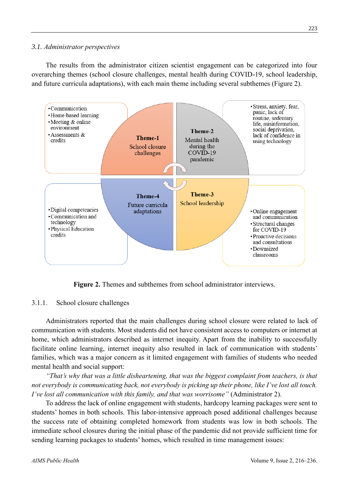## *3.1. Administrator perspectives*

The results from the administrator citizen scientist engagement can be categorized into four overarching themes (school closure challenges, mental health during COVID-19, school leadership, and future curricula adaptations), with each main theme including several subthemes (Figure 2).



**Figure 2.** Themes and subthemes from school administrator interviews.

## 3.1.1. School closure challenges

Administrators reported that the main challenges during school closure were related to lack of communication with students. Most students did not have consistent access to computers or internet at home, which administrators described as internet inequity. Apart from the inability to successfully facilitate online learning, internet inequity also resulted in lack of communication with students' families, which was a major concern as it limited engagement with families of students who needed mental health and social support:

*"That's why that was a little disheartening, that was the biggest complaint from teachers, is that not everybody is communicating back, not everybody is picking up their phone, like I've lost all touch. I've lost all communication with this family, and that was worrisome"* (Administrator 2).

To address the lack of online engagement with students, hardcopy learning packages were sent to students' homes in both schools. This labor-intensive approach posed additional challenges because the success rate of obtaining completed homework from students was low in both schools. The immediate school closures during the initial phase of the pandemic did not provide sufficient time for sending learning packages to students' homes, which resulted in time management issues: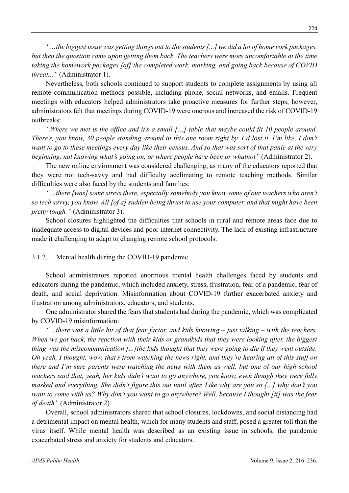*"…the biggest issue was getting things out to the students [...] we did a lot of homework packages, but then the question came upon getting them back. The teachers were more uncomfortable at the time taking the homework packages [of] the completed work, marking, and going back because of COVID threat..."* (Administrator 1).

Nevertheless*,* both schools continued to support students to complete assignments by using all remote communication methods possible, including phone, social networks, and emails. Frequent meetings with educators helped administrators take proactive measures for further steps; however, administrators felt that meetings during COVID-19 were onerous and increased the risk of COVID-19 outbreaks:

*"Where we met is the office and it's a small […] table that maybe could fit 10 people around. There's, you know, 30 people standing around in this one room right by, I'd lost it. I'm like, I don't want to go to these meetings every day like their census. And so that was sort of that panic at the very beginning, not knowing what's going on, or where people have been or whatnot"* (Administrator 2).

The new online environment was considered challenging, as many of the educators reported that they were not tech-savvy and had difficulty acclimating to remote teaching methods. Similar difficulties were also faced by the students and families:

*"…there [was] some stress there, especially somebody you know some of our teachers who aren't so tech savvy, you know. All [of a] sudden being thrust to use your computer, and that might have been pretty tough."* (Administrator 3).

School closures highlighted the difficulties that schools in rural and remote areas face due to inadequate access to digital devices and poor internet connectivity. The lack of existing infrastructure made it challenging to adapt to changing remote school protocols.

#### 3.1.2. Mental health during the COVID-19 pandemic

School administrators reported enormous mental health challenges faced by students and educators during the pandemic, which included anxiety, stress, frustration, fear of a pandemic, fear of death, and social deprivation. Misinformation about COVID-19 further exacerbated anxiety and frustration among administrators, educators, and students.

One administrator shared the fears that students had during the pandemic, which was complicated by COVID-19 misinformation:

*"…there was a little bit of that fear factor, and kids knowing – just talking – with the teachers. When we got back, the reaction with their kids or grandkids that they were looking after, the biggest thing was the miscommunication [...]the kids thought that they were going to die if they went outside. Oh yeah, I thought, wow, that's from watching the news right, and they're hearing all of this stuff on there and I'm sure parents were watching the news with them as well, but one of our high school teachers said that, yeah, her kids didn't want to go anywhere, you know, even though they were fully masked and everything. She didn't figure this out until after. Like why are you so [...] why don't you want to come with us? Why don't you want to go anywhere? Well, because I thought [it] was the fear of death"* (Administrator 2)*.*

Overall, school administrators shared that school closures, lockdowns, and social distancing had a detrimental impact on mental health, which for many students and staff, posed a greater toll than the virus itself. While mental health was described as an existing issue in schools, the pandemic exacerbated stress and anxiety for students and educators.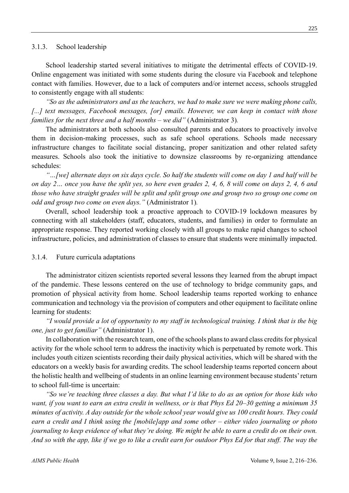#### 3.1.3. School leadership

School leadership started several initiatives to mitigate the detrimental effects of COVID-19. Online engagement was initiated with some students during the closure via Facebook and telephone contact with families. However, due to a lack of computers and/or internet access, schools struggled to consistently engage with all students:

*"So as the administrators and as the teachers, we had to make sure we were making phone calls,*  [...] text messages, Facebook messages, [or] emails. However, we can keep in contact with those *families for the next three and a half months – we did"* (Administrator 3)*.*

The administrators at both schools also consulted parents and educators to proactively involve them in decision-making processes, such as safe school operations. Schools made necessary infrastructure changes to facilitate social distancing, proper sanitization and other related safety measures. Schools also took the initiative to downsize classrooms by re-organizing attendance schedules:

*"…[we] alternate days on six days cycle. So half the students will come on day 1 and half will be on day 2… once you have the split yes, so here even grades 2, 4, 6, 8 will come on days 2, 4, 6 and those who have straight grades will be split and split group one and group two so group one come on odd and group two come on even days."* (Administrator 1)*.*

Overall, school leadership took a proactive approach to COVID-19 lockdown measures by connecting with all stakeholders (staff, educators, students, and families) in order to formulate an appropriate response. They reported working closely with all groups to make rapid changes to school infrastructure, policies, and administration of classes to ensure that students were minimally impacted.

#### 3.1.4. Future curricula adaptations

The administrator citizen scientists reported several lessons they learned from the abrupt impact of the pandemic. These lessons centered on the use of technology to bridge community gaps, and promotion of physical activity from home. School leadership teams reported working to enhance communication and technology via the provision of computers and other equipment to facilitate online learning for students:

*"I would provide a lot of opportunity to my staff in technological training. I think that is the big one, just to get familiar"* (Administrator 1).

In collaboration with the research team, one of the schools plans to award class credits for physical activity for the whole school term to address the inactivity which is perpetuated by remote work. This includes youth citizen scientists recording their daily physical activities, which will be shared with the educators on a weekly basis for awarding credits. The school leadership teams reported concern about the holistic health and wellbeing of students in an online learning environment because students' return to school full-time is uncertain:

*"So we're teaching three classes a day. But what I'd like to do as an option for those kids who want, if you want to earn an extra credit in wellness, or is that Phys Ed 20–30 getting a minimum 35 minutes of activity. A day outside for the whole school year would give us 100 credit hours. They could earn a credit and I think using the [mobile]app and some other – either video journaling or photo journaling to keep evidence of what they're doing. We might be able to earn a credit do on their own. And so with the app, like if we go to like a credit earn for outdoor Phys Ed for that stuff. The way the*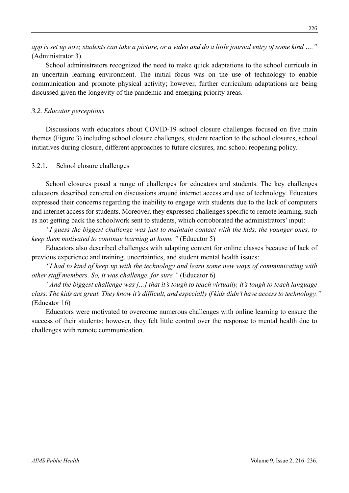*app is set up now, students can take a picture, or a video and do a little journal entry of some kind …."*  (Administrator 3).

School administrators recognized the need to make quick adaptations to the school curricula in an uncertain learning environment. The initial focus was on the use of technology to enable communication and promote physical activity; however, further curriculum adaptations are being discussed given the longevity of the pandemic and emerging priority areas.

## *3.2. Educator perceptions*

Discussions with educators about COVID-19 school closure challenges focused on five main themes (Figure 3) including school closure challenges, student reaction to the school closures, school initiatives during closure, different approaches to future closures, and school reopening policy.

## 3.2.1. School closure challenges

School closures posed a range of challenges for educators and students. The key challenges educators described centered on discussions around internet access and use of technology. Educators expressed their concerns regarding the inability to engage with students due to the lack of computers and internet access for students. Moreover, they expressed challenges specific to remote learning, such as not getting back the schoolwork sent to students, which corroborated the administrators' input:

*"I guess the biggest challenge was just to maintain contact with the kids, the younger ones, to keep them motivated to continue learning at home."* (Educator 5)

Educators also described challenges with adapting content for online classes because of lack of previous experience and training, uncertainties, and student mental health issues:

*"I had to kind of keep up with the technology and learn some new ways of communicating with other staff members. So, it was challenge, for sure."* (Educator 6)

*"And the biggest challenge was [...] that it's tough to teach virtually, it's tough to teach language class. The kids are great. They know it's difficult, and especially if kids didn't have access to technology."*  (Educator 16)

Educators were motivated to overcome numerous challenges with online learning to ensure the success of their students; however, they felt little control over the response to mental health due to challenges with remote communication.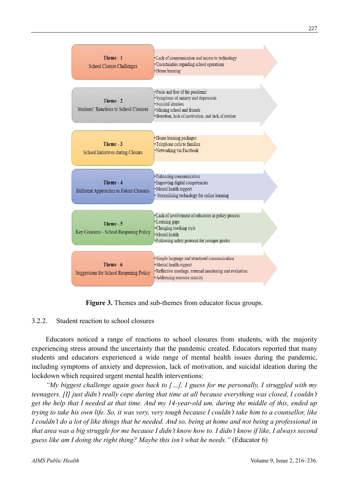

**Figure 3.** Themes and sub-themes from educator focus groups.

## 3.2.2. Student reaction to school closures

Educators noticed a range of reactions to school closures from students, with the majority experiencing stress around the uncertainty that the pandemic created. Educators reported that many students and educators experienced a wide range of mental health issues during the pandemic, including symptoms of anxiety and depression, lack of motivation, and suicidal ideation during the lockdown which required urgent mental health interventions:

*"My biggest challenge again goes back to […], I guess for me personally, I struggled with my teenagers. [I] just didn't really cope during that time at all because everything was closed, I couldn't get the help that I needed at that time. And my 14-year-old um, during the middle of this, ended up trying to take his own life. So, it was very, very tough because I couldn't take him to a counsellor, like I couldn't do a lot of like things that he needed. And so, being at home and not being a professional in that area was a big struggle for me because I didn't know how to. I didn't know if like, I always second guess like am I doing the right thing? Maybe this isn't what he needs."* (Educator 6)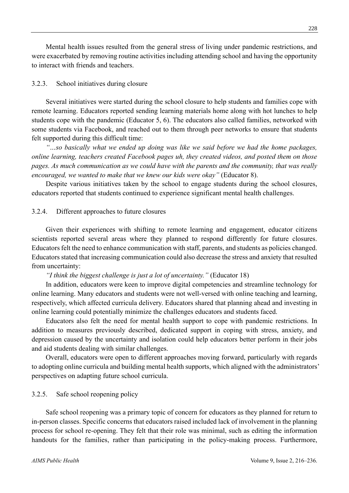Mental health issues resulted from the general stress of living under pandemic restrictions, and were exacerbated by removing routine activities including attending school and having the opportunity to interact with friends and teachers.

## 3.2.3. School initiatives during closure

Several initiatives were started during the school closure to help students and families cope with remote learning. Educators reported sending learning materials home along with hot lunches to help students cope with the pandemic (Educator 5, 6). The educators also called families, networked with some students via Facebook, and reached out to them through peer networks to ensure that students felt supported during this difficult time:

*"…so basically what we ended up doing was like we said before we had the home packages, online learning, teachers created Facebook pages uh, they created videos, and posted them on those pages. As much communication as we could have with the parents and the community, that was really encouraged, we wanted to make that we knew our kids were okay"* (Educator 8).

Despite various initiatives taken by the school to engage students during the school closures, educators reported that students continued to experience significant mental health challenges.

## 3.2.4. Different approaches to future closures

Given their experiences with shifting to remote learning and engagement, educator citizens scientists reported several areas where they planned to respond differently for future closures. Educators felt the need to enhance communication with staff, parents, and students as policies changed. Educators stated that increasing communication could also decrease the stress and anxiety that resulted from uncertainty:

#### *"I think the biggest challenge is just a lot of uncertainty."* (Educator 18)

In addition, educators were keen to improve digital competencies and streamline technology for online learning. Many educators and students were not well-versed with online teaching and learning, respectively, which affected curricula delivery. Educators shared that planning ahead and investing in online learning could potentially minimize the challenges educators and students faced.

Educators also felt the need for mental health support to cope with pandemic restrictions. In addition to measures previously described, dedicated support in coping with stress, anxiety, and depression caused by the uncertainty and isolation could help educators better perform in their jobs and aid students dealing with similar challenges.

Overall, educators were open to different approaches moving forward, particularly with regards to adopting online curricula and building mental health supports, which aligned with the administrators' perspectives on adapting future school curricula.

#### 3.2.5. Safe school reopening policy

Safe school reopening was a primary topic of concern for educators as they planned for return to in-person classes. Specific concerns that educators raised included lack of involvement in the planning process for school re-opening. They felt that their role was minimal, such as editing the information handouts for the families, rather than participating in the policy-making process. Furthermore,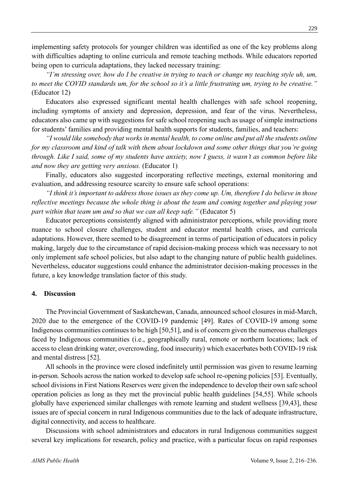implementing safety protocols for younger children was identified as one of the key problems along with difficulties adapting to online curricula and remote teaching methods. While educators reported being open to curricula adaptations, they lacked necessary training:

*"I'm stressing over, how do I be creative in trying to teach or change my teaching style uh, um, to meet the COVID standards um, for the school so it's a little frustrating um, trying to be creative."* (Educator 12)

Educators also expressed significant mental health challenges with safe school reopening, including symptoms of anxiety and depression, depression, and fear of the virus. Nevertheless, educators also came up with suggestions for safe school reopening such as usage of simple instructions for students' families and providing mental health supports for students, families, and teachers:

*"I would like somebody that works in mental health, to come online and put all the students online for my classroom and kind of talk with them about lockdown and some other things that you're going through. Like I said, some of my students have anxiety, now I guess, it wasn't as common before like and now they are getting very anxious.* (Educator 1)

Finally, educators also suggested incorporating reflective meetings, external monitoring and evaluation, and addressing resource scarcity to ensure safe school operations:

*"I think it's important to address those issues as they come up. Um, therefore I do believe in those reflective meetings because the whole thing is about the team and coming together and playing your part within that team um and so that we can all keep safe."* (Educator 5)

Educator perceptions consistently aligned with administrator perceptions, while providing more nuance to school closure challenges, student and educator mental health crises, and curricula adaptations. However, there seemed to be disagreement in terms of participation of educators in policy making, largely due to the circumstance of rapid decision-making process which was necessary to not only implement safe school policies, but also adapt to the changing nature of public health guidelines. Nevertheless, educator suggestions could enhance the administrator decision-making processes in the future, a key knowledge translation factor of this study.

#### **4. Discussion**

The Provincial Government of Saskatchewan, Canada, announced school closures in mid-March, 2020 due to the emergence of the COVID-19 pandemic [49]. Rates of COVID-19 among some Indigenous communities continues to be high [50,51], and is of concern given the numerous challenges faced by Indigenous communities (i.e., geographically rural, remote or northern locations; lack of access to clean drinking water, overcrowding, food insecurity) which exacerbates both COVID-19 risk and mental distress [52].

All schools in the province were closed indefinitely until permission was given to resume learning in-person. Schools across the nation worked to develop safe school re-opening policies [53]. Eventually, school divisions in First Nations Reserves were given the independence to develop their own safe school operation policies as long as they met the provincial public health guidelines [54,55]. While schools globally have experienced similar challenges with remote learning and student wellness [39,43], these issues are of special concern in rural Indigenous communities due to the lack of adequate infrastructure, digital connectivity, and access to healthcare.

Discussions with school administrators and educators in rural Indigenous communities suggest several key implications for research, policy and practice, with a particular focus on rapid responses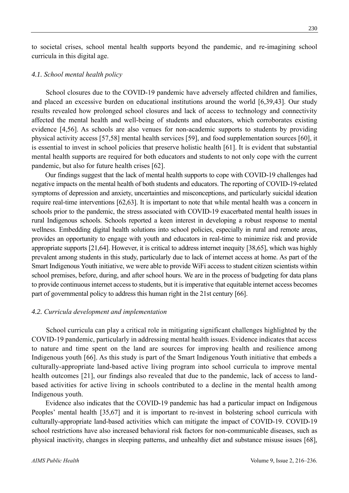to societal crises, school mental health supports beyond the pandemic, and re-imagining school curricula in this digital age.

#### *4.1. School mental health policy*

School closures due to the COVID-19 pandemic have adversely affected children and families, and placed an excessive burden on educational institutions around the world [6,39,43]. Our study results revealed how prolonged school closures and lack of access to technology and connectivity affected the mental health and well-being of students and educators, which corroborates existing evidence [4,56]. As schools are also venues for non-academic supports to students by providing physical activity access [57,58] mental health services [59], and food supplementation sources [60], it is essential to invest in school policies that preserve holistic health [61]. It is evident that substantial mental health supports are required for both educators and students to not only cope with the current pandemic, but also for future health crises [62].

Our findings suggest that the lack of mental health supports to cope with COVID-19 challenges had negative impacts on the mental health of both students and educators. The reporting of COVID-19-related symptoms of depression and anxiety, uncertainties and misconceptions, and particularly suicidal ideation require real-time interventions [62,63]. It is important to note that while mental health was a concern in schools prior to the pandemic, the stress associated with COVID-19 exacerbated mental health issues in rural Indigenous schools. Schools reported a keen interest in developing a robust response to mental wellness. Embedding digital health solutions into school policies, especially in rural and remote areas, provides an opportunity to engage with youth and educators in real-time to minimize risk and provide appropriate supports [21,64]. However, it is critical to address internet inequity [38,65], which was highly prevalent among students in this study, particularly due to lack of internet access at home. As part of the Smart Indigenous Youth initiative, we were able to provide WiFi access to student citizen scientists within school premises, before, during, and after school hours. We are in the process of budgeting for data plans to provide continuous internet access to students, but it is imperative that equitable internet access becomes part of governmental policy to address this human right in the 21st century [66].

#### *4.2. Curricula development and implementation*

School curricula can play a critical role in mitigating significant challenges highlighted by the COVID-19 pandemic, particularly in addressing mental health issues. Evidence indicates that access to nature and time spent on the land are sources for improving health and resilience among Indigenous youth [66]. As this study is part of the Smart Indigenous Youth initiative that embeds a culturally-appropriate land-based active living program into school curricula to improve mental health outcomes [21], our findings also revealed that due to the pandemic, lack of access to landbased activities for active living in schools contributed to a decline in the mental health among Indigenous youth.

Evidence also indicates that the COVID-19 pandemic has had a particular impact on Indigenous Peoples' mental health [35,67] and it is important to re-invest in bolstering school curricula with culturally-appropriate land-based activities which can mitigate the impact of COVID-19. COVID-19 school restrictions have also increased behavioral risk factors for non-communicable diseases, such as physical inactivity, changes in sleeping patterns, and unhealthy diet and substance misuse issues [68],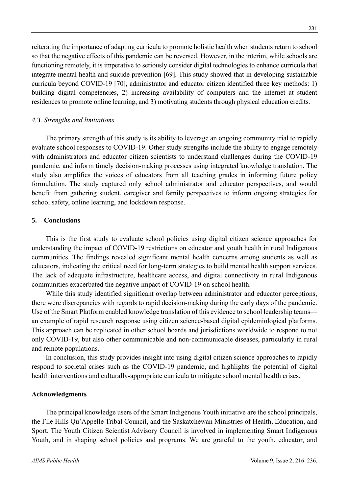reiterating the importance of adapting curricula to promote holistic health when students return to school so that the negative effects of this pandemic can be reversed. However, in the interim, while schools are functioning remotely, it is imperative to seriously consider digital technologies to enhance curricula that integrate mental health and suicide prevention [69]. This study showed that in developing sustainable curricula beyond COVID-19 [70], administrator and educator citizen identified three key methods: 1) building digital competencies, 2) increasing availability of computers and the internet at student residences to promote online learning, and 3) motivating students through physical education credits.

### *4.3. Strengths and limitations*

The primary strength of this study is its ability to leverage an ongoing community trial to rapidly evaluate school responses to COVID-19. Other study strengths include the ability to engage remotely with administrators and educator citizen scientists to understand challenges during the COVID-19 pandemic, and inform timely decision-making processes using integrated knowledge translation. The study also amplifies the voices of educators from all teaching grades in informing future policy formulation. The study captured only school administrator and educator perspectives, and would benefit from gathering student, caregiver and family perspectives to inform ongoing strategies for school safety, online learning, and lockdown response.

## **5. Conclusions**

This is the first study to evaluate school policies using digital citizen science approaches for understanding the impact of COVID-19 restrictions on educator and youth health in rural Indigenous communities. The findings revealed significant mental health concerns among students as well as educators, indicating the critical need for long-term strategies to build mental health support services. The lack of adequate infrastructure, healthcare access, and digital connectivity in rural Indigenous communities exacerbated the negative impact of COVID-19 on school health.

While this study identified significant overlap between administrator and educator perceptions, there were discrepancies with regards to rapid decision-making during the early days of the pandemic. Use of the Smart Platform enabled knowledge translation of this evidence to school leadership teams an example of rapid research response using citizen science-based digital epidemiological platforms. This approach can be replicated in other school boards and jurisdictions worldwide to respond to not only COVID-19, but also other communicable and non-communicable diseases, particularly in rural and remote populations.

In conclusion, this study provides insight into using digital citizen science approaches to rapidly respond to societal crises such as the COVID-19 pandemic, and highlights the potential of digital health interventions and culturally-appropriate curricula to mitigate school mental health crises.

#### **Acknowledgments**

The principal knowledge users of the Smart Indigenous Youth initiative are the school principals, the File Hills Qu'Appelle Tribal Council, and the Saskatchewan Ministries of Health, Education, and Sport. The Youth Citizen Scientist Advisory Council is involved in implementing Smart Indigenous Youth, and in shaping school policies and programs. We are grateful to the youth, educator, and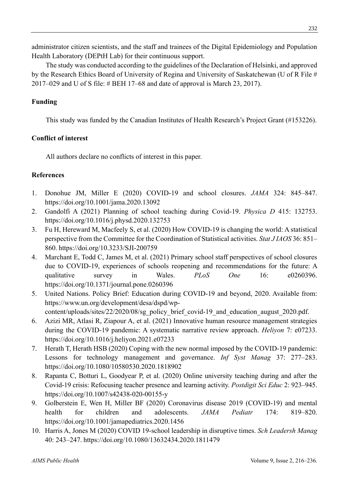administrator citizen scientists, and the staff and trainees of the Digital Epidemiology and Population Health Laboratory (DEPtH Lab) for their continuous support.

The study was conducted according to the guidelines of the Declaration of Helsinki, and approved by the Research Ethics Board of University of Regina and University of Saskatchewan (U of R File # 2017–029 and U of S file: # BEH 17–68 and date of approval is March 23, 2017).

# **Funding**

This study was funded by the Canadian Institutes of Health Research's Project Grant (#153226).

# **Conflict of interest**

All authors declare no conflicts of interest in this paper.

# **References**

- 1. Donohue JM, Miller E (2020) COVID-19 and school closures. *JAMA* 324: 845–847. https://doi.org/10.1001/jama.2020.13092
- 2. Gandolfi A (2021) Planning of school teaching during Covid-19. *Physica D* 415: 132753. https://doi.org/10.1016/j.physd.2020.132753
- 3. Fu H, Hereward M, Macfeely S, et al. (2020) How COVID-19 is changing the world: A statistical perspective from the Committee for the Coordination of Statistical activities. *Stat J IAOS* 36: 851– 860. https://doi.org/10.3233/SJI-200759
- 4. Marchant E, Todd C, James M, et al. (2021) Primary school staff perspectives of school closures due to COVID-19, experiences of schools reopening and recommendations for the future: A qualitative survey in Wales. *PLoS One* 16: e0260396. https://doi.org/10.1371/journal.pone.0260396
- 5. United Nations. Policy Brief: Education during COVID-19 and beyond, 2020. Available from: https://www.un.org/development/desa/dspd/wpcontent/uploads/sites/22/2020/08/sg\_policy\_brief\_covid-19\_and\_education\_august\_2020.pdf.
- 6. Azizi MR, Atlasi R, Ziapour A, et al. (2021) Innovative human resource management strategies during the COVID-19 pandemic: A systematic narrative review approach. *Heliyon* 7: e07233. https://doi.org/10.1016/j.heliyon.2021.e07233
- 7. Herath T, Herath HSB (2020) Coping with the new normal imposed by the COVID-19 pandemic: Lessons for technology management and governance. *Inf Syst Manag* 37: 277–283. https://doi.org/10.1080/10580530.2020.1818902
- 8. Rapanta C, Botturi L, Goodyear P, et al. (2020) Online university teaching during and after the Covid-19 crisis: Refocusing teacher presence and learning activity. *Postdigit Sci Educ* 2: 923–945. https://doi.org/10.1007/s42438-020-00155-y
- 9. Golberstein E, Wen H, Miller BF (2020) Coronavirus disease 2019 (COVID-19) and mental health for children and adolescents. *JAMA Pediatr* 174: 819–820. https://doi.org/10.1001/jamapediatrics.2020.1456
- 10. Harris A, Jones M (2020) COVID 19-school leadership in disruptive times. *Sch Leadersh Manag* 40: 243–247. https://doi.org/10.1080/13632434.2020.1811479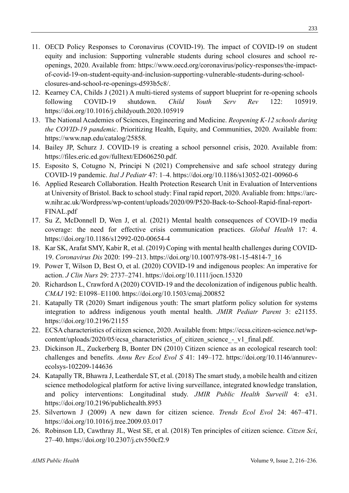- 11. OECD Policy Responses to Coronavirus (COVID-19). The impact of COVID-19 on student equity and inclusion: Supporting vulnerable students during school closures and school reopenings, 2020. Available from: https://www.oecd.org/coronavirus/policy-responses/the-impactof-covid-19-on-student-equity-and-inclusion-supporting-vulnerable-students-during-schoolclosures-and-school-re-openings-d593b5c8/.
- 12. Kearney CA, Childs J (2021) A multi-tiered systems of support blueprint for re-opening schools following COVID-19 shutdown. *Child Youth Serv Rev* 122: 105919. https://doi.org/10.1016/j.childyouth.2020.105919
- 13. The National Academies of Sciences, Engineering and Medicine. *Reopening K-12 schools during the COVID-19 pandemic*. Prioritizing Health, Equity, and Communities, 2020. Available from: https://www.nap.edu/catalog/25858.
- 14. Bailey JP, Schurz J. COVID-19 is creating a school personnel crisis, 2020. Available from: https://files.eric.ed.gov/fulltext/ED606250.pdf.
- 15. Esposito S, Cotugno N, Principi N (2021) Comprehensive and safe school strategy during COVID-19 pandemic. *Ital J Pediatr* 47: 1–4. https://doi.org/10.1186/s13052-021-00960-6
- 16. Applied Research Collaboration. Health Protection Research Unit in Evaluation of Interventions at University of Bristol. Back to school study: Final rapid report, 2020. Avaliable from: https://arcw.nihr.ac.uk/Wordpress/wp-content/uploads/2020/09/P520-Back-to-School-Rapid-final-report-FINAL.pdf
- 17. Su Z, McDonnell D, Wen J, et al. (2021) Mental health consequences of COVID-19 media coverage: the need for effective crisis communication practices. *Global Health* 17: 4. https://doi.org/10.1186/s12992-020-00654-4
- 18. Kar SK, Arafat SMY, Kabir R, et al. (2019) Coping with mental health challenges during COVID-19. *Coronavirus Dis* 2020: 199–213. https://doi.org/10.1007/978-981-15-4814-7\_16
- 19. Power T, Wilson D, Best O, et al. (2020) COVID-19 and indigenous peoples: An imperative for action. *J Clin Nurs* 29: 2737–2741. https://doi.org/10.1111/jocn.15320
- 20. Richardson L, Crawford A (2020) COVID-19 and the decolonization of indigenous public health. *CMAJ* 192: E1098–E1100. https://doi.org/10.1503/cmaj.200852
- 21. Katapally TR (2020) Smart indigenous youth: The smart platform policy solution for systems integration to address indigenous youth mental health. *JMIR Pediatr Parent* 3: e21155. https://doi.org/10.2196/21155
- 22. ECSA characteristics of citizen science, 2020. Available from: https://ecsa.citizen-science.net/wpcontent/uploads/2020/05/ecsa characteristics of citizen science - v1 final.pdf.
- 23. Dickinson JL, Zuckerberg B, Bonter DN (2010) Citizen science as an ecological research tool: challenges and benefits. *Annu Rev Ecol Evol S* 41: 149–172. https://doi.org/10.1146/annurevecolsys-102209-144636
- 24. Katapally TR, Bhawra J, Leatherdale ST, et al. (2018) The smart study, a mobile health and citizen science methodological platform for active living surveillance, integrated knowledge translation, and policy interventions: Longitudinal study. *JMIR Public Health Surveill* 4: e31. https://doi.org/10.2196/publichealth.8953
- 25. Silvertown J (2009) A new dawn for citizen science. *Trends Ecol Evol* 24: 467–471. https://doi.org/10.1016/j.tree.2009.03.017
- 26. Robinson LD, Cawthray JL, West SE, et al. (2018) Ten principles of citizen science. *Citzen Sci*, 27–40. https://doi.org/10.2307/j.ctv550cf2.9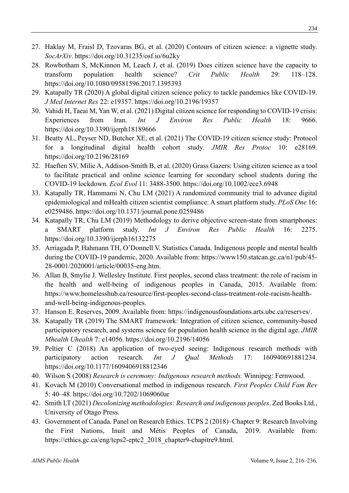- 27. Haklay M, Fraisl D, Tzovaras BG, et al. (2020) Contours of citizen science: a vignette study. *SocArXiv*. https://doi.org/10.31235/osf.io/6u2ky
- 28. Rowbotham S, McKinnon M, Leach J, et al. (2019) Does citizen science have the capacity to transform population health science? *Crit Public Health* 29: 118–128. https://doi.org/10.1080/09581596.2017.1395393
- 29. Katapally TR (2020) A global digital citizen science policy to tackle pandemics like COVID-19. *J Med Internet Res* 22: e19357. https://doi.org/10.2196/19357
- 30. Vahidi H, Taeai M, Yan W, et al. (2021) Digital citizen science for responding to COVID-19 crisis: Experiences from Iran. *Int J Environ Res Public Health* 18: 9666. https://doi.org/10.3390/ijerph18189666
- 31. Beatty AL, Peyser ND, Butcher XE, et al. (2021) The COVID-19 citizen science study: Protocol for a longitudinal digital health cohort study. *JMIR Res Protoc* 10: e28169. https://doi.org/10.2196/28169
- 32. Haeften SV, Milic A, Addison-Smith B, et al. (2020) Grass Gazers: Using citizen science as a tool to facilitate practical and online science learning for secondary school students during the COVID-19 lockdown. *Ecol Evol* 11: 3488-3500. https://doi.org/10.1002/ece3.6948
- 33. Katapally TR, Hammami N, Chu LM (2021) A randomized community trial to advance digital epidemiological and mHealth citizen scientist compliance: A smart platform study. *PLoS One* 16: e0259486. https://doi.org/10.1371/journal.pone.0259486
- 34. Katapally TR, Chu LM (2019) Methodology to derive objective screen-state from smartphones: a SMART platform study. *Int J Environ Res Public Health* 16: 2275. https://doi.org/10.3390/ijerph16132275
- 35. Arriagada P, Hahmann TH, O'Donnell V. Statistics Canada. Indigenous people and mental health during the COVID-19 pandemic, 2020. Available from: https://www150.statcan.gc.ca/n1/pub/45- 28-0001/2020001/article/00035-eng.htm.
- 36. Allan B, Smylie J. Wellesley Institute. First peoples, second class treatment: the role of racism in the health and well-being of indigenous peoples in Canada, 2015. Available from: https://www.homelesshub.ca/resource/first-peoples-second-class-treatment-role-racism-healthand-well-being-indigenous-peoples.
- 37. Hanson E. Reserves, 2009. Available from: https://indigenousfoundations.arts.ubc.ca/reserves/.
- 38. Katapally TR (2019) The SMART framework: Integration of citizen science, community-based participatory research, and systems science for population health science in the digital age. *JMIR Mhealth Uhealth* 7: e14056. https://doi.org/10.2196/14056
- 39. Peltier C (2018) An application of two-eyed seeing: Indigenous research methods with participatory action research. *Int J Qual Methods* 17: 160940691881234. https://doi.org/10.1177/1609406918812346
- 40. Wilson S (2008) *Research is ceremony: Indigenous research methods.* Winnipeg: Fernwood.
- 41. Kovach M (2010) Conversational method in indigenous research. *First Peoples Child Fam Rev* 5: 40–48. https://doi.org/10.7202/1069060ar
- 42. Smith LT (2021) *Decolonizing methodologies: Research and indigenous peoples*. Zed Books Ltd., University of Otago Press.
- 43. Government of Canada. Panel on Research Ethics. TCPS 2 (2018)–Chapter 9: Research Involving the First Nations, Inuit and Métis Peoples of Canada, 2019. Available from: https://ethics.gc.ca/eng/tcps2-eptc2\_2018\_chapter9-chapitre9.html.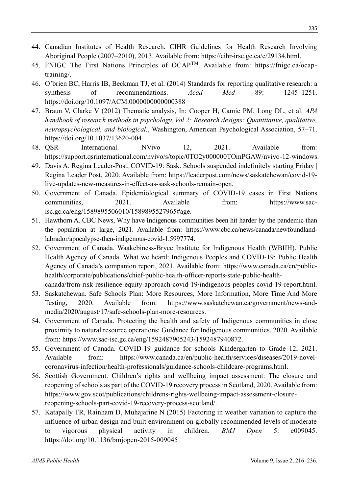- 44. Canadian Institutes of Health Research. CIHR Guidelines for Health Research Involving Aboriginal People (2007–2010), 2013. Available from: https://cihr-irsc.gc.ca/e/29134.html.
- 45. FNIGC The First Nations Principles of OCAP<sup>TM</sup>. Available from: https://fnigc.ca/ocaptraining/.
- 46. O'brien BC, Harris IB, Beckman TJ, et al. (2014) Standards for reporting qualitative research: a synthesis of recommendations. *Acad Med* 89: 1245–1251. https://doi.org/10.1097/ACM.0000000000000388
- 47. Braun V, Clarke V (2012) Thematic analysis, In: Cooper H, Camic PM, Long DL, et al. *APA handbook of research methods in psychology, Vol 2: Research designs: Quantitative, qualitative, neuropsychological, and biological.*, Washington, American Psychological Association, 57–71. https://doi.org/10.1037/13620-004
- 48. QSR International. NVivo 12, 2021. Available from: https://support.qsrinternational.com/nvivo/s/topic/0TO2y000000TOmPGAW/nvivo-12-windows.
- 49. Davis A. Regina Leader-Post, COVID-19: Sask. Schools suspended indefinitely starting Friday | Regina Leader Post, 2020. Available from: https://leaderpost.com/news/saskatchewan/covid-19 live-updates-new-measures-in-effect-as-sask-schools-remain-open.
- 50. Government of Canada. Epidemiological summary of COVID-19 cases in First Nations communities, 2021. Available from: https://www.sacisc.gc.ca/eng/1589895506010/1589895527965#age.
- 51. Hawthorn A. CBC News, Why have Indigenous communities been hit harder by the pandemic than the population at large, 2021. Available from: https://www.cbc.ca/news/canada/newfoundlandlabrador/apocalypse-then-indigenous-covid-1.5997774.
- 52. Government of Canada. Waakebiness-Bryce Institute for Indigenous Health (WBIIH). Public Health Agency of Canada. What we heard: Indigenous Peoples and COVID-19: Public Health Agency of Canada's companion report, 2021. Available from: https://www.canada.ca/en/publichealth/corporate/publications/chief-public-health-officer-reports-state-public-healthcanada/from-risk-resilience-equity-approach-covid-19/indigenous-peoples-covid-19-report.html.
- 53. Saskatchewan. Safe Schools Plan: More Resources, More Information, More Time And More Testing, 2020. Available from: https://www.saskatchewan.ca/government/news-andmedia/2020/august/17/safe-schools-plan-more-resources.
- 54. Government of Canada. Protecting the health and safety of Indigenous communities in close proximity to natural resource operations: Guidance for Indigenous communities, 2020. Available from: https://www.sac-isc.gc.ca/eng/1592487905243/1592487940872.
- 55. Government of Canada. COVID-19 guidance for schools Kindergarten to Grade 12, 2021. Available from: https://www.canada.ca/en/public-health/services/diseases/2019-novelcoronavirus-infection/health-professionals/guidance-schools-childcare-programs.html.
- 56. Scottish Government. Children's rights and wellbeing impact assessment: The closure and reopening of schools as part of the COVID-19 recovery process in Scotland, 2020. Available from: https://www.gov.scot/publications/childrens-rights-wellbeing-impact-assessment-closurereopening-schools-part-covid-19-recovery-process-scotland/.
- 57. Katapally TR, Rainham D, Muhajarine N (2015) Factoring in weather variation to capture the influence of urban design and built environment on globally recommended levels of moderate to vigorous physical activity in children. *BMJ Open* 5: e009045. https://doi.org/10.1136/bmjopen-2015-009045